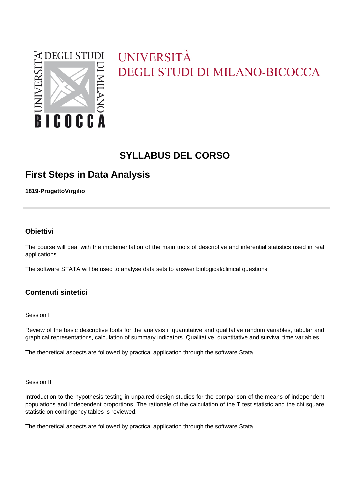

# UNIVERSITÀ **DEGLI STUDI DI MILANO-BICOCCA**

# **SYLLABUS DEL CORSO**

## **First Steps in Data Analysis**

**1819-ProgettoVirgilio**

### **Obiettivi**

The course will deal with the implementation of the main tools of descriptive and inferential statistics used in real applications.

The software STATA will be used to analyse data sets to answer biological/clinical questions.

### **Contenuti sintetici**

#### Session I

Review of the basic descriptive tools for the analysis if quantitative and qualitative random variables, tabular and graphical representations, calculation of summary indicators. Qualitative, quantitative and survival time variables.

The theoretical aspects are followed by practical application through the software Stata.

#### Session II

Introduction to the hypothesis testing in unpaired design studies for the comparison of the means of independent populations and independent proportions. The rationale of the calculation of the T test statistic and the chi square statistic on contingency tables is reviewed.

The theoretical aspects are followed by practical application through the software Stata.